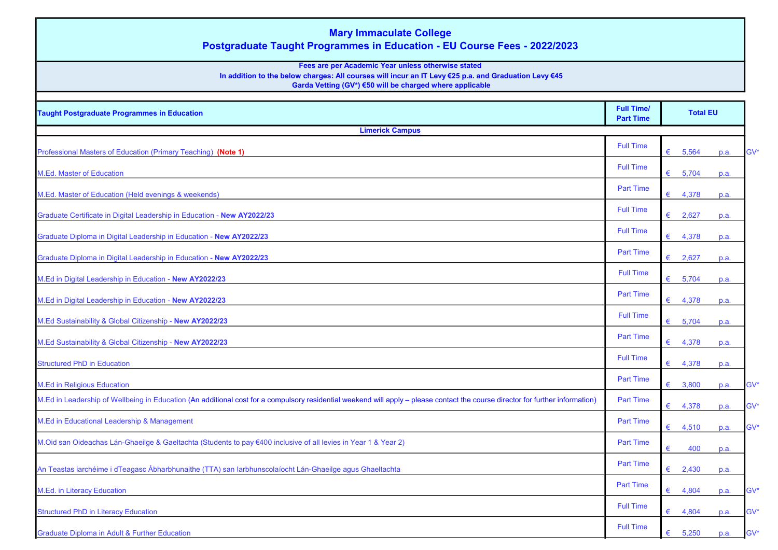| <b>Mary Immaculate College</b><br><b>Postgraduate Taught Programmes in Education - EU Course Fees - 2022/2023</b><br>Fees are per Academic Year unless otherwise stated<br>In addition to the below charges: All courses will incur an IT Levy €25 p.a. and Graduation Levy €45<br>Garda Vetting (GV*) €50 will be charged where applicable |                                       |                 |      |        |  |
|---------------------------------------------------------------------------------------------------------------------------------------------------------------------------------------------------------------------------------------------------------------------------------------------------------------------------------------------|---------------------------------------|-----------------|------|--------|--|
| <b>Taught Postgraduate Programmes in Education</b>                                                                                                                                                                                                                                                                                          | <b>Full Time/</b><br><b>Part Time</b> | <b>Total EU</b> |      |        |  |
| <b>Limerick Campus</b>                                                                                                                                                                                                                                                                                                                      |                                       |                 |      |        |  |
|                                                                                                                                                                                                                                                                                                                                             | <b>Full Time</b>                      |                 |      |        |  |
| Professional Masters of Education (Primary Teaching) (Note 1)                                                                                                                                                                                                                                                                               |                                       | 5,564<br>€      | p.a. | GV*    |  |
| M.Ed. Master of Education                                                                                                                                                                                                                                                                                                                   | <b>Full Time</b>                      | 5,704<br>€      | p.a. |        |  |
| M.Ed. Master of Education (Held evenings & weekends)                                                                                                                                                                                                                                                                                        | <b>Part Time</b>                      | 4,378<br>€      | p.a. |        |  |
|                                                                                                                                                                                                                                                                                                                                             | <b>Full Time</b>                      | €<br>2,627      |      |        |  |
| Graduate Certificate in Digital Leadership in Education - New AY2022/23                                                                                                                                                                                                                                                                     | <b>Full Time</b>                      |                 | p.a. |        |  |
| Graduate Diploma in Digital Leadership in Education - New AY2022/23                                                                                                                                                                                                                                                                         |                                       | 4,378<br>€      | p.a. |        |  |
| Graduate Diploma in Digital Leadership in Education - New AY2022/23                                                                                                                                                                                                                                                                         | <b>Part Time</b>                      | 2,627<br>€      | p.a. |        |  |
| M.Ed in Digital Leadership in Education - New AY2022/23                                                                                                                                                                                                                                                                                     | <b>Full Time</b>                      | €               |      |        |  |
|                                                                                                                                                                                                                                                                                                                                             | <b>Part Time</b>                      | 5,704           | p.a. |        |  |
| M.Ed in Digital Leadership in Education - New AY2022/23                                                                                                                                                                                                                                                                                     |                                       | €<br>4,378      | p.a. |        |  |
| M.Ed Sustainability & Global Citizenship - New AY2022/23                                                                                                                                                                                                                                                                                    | <b>Full Time</b>                      | €<br>5,704      | p.a. |        |  |
| M.Ed Sustainability & Global Citizenship - New AY2022/23                                                                                                                                                                                                                                                                                    | <b>Part Time</b>                      | 4,378<br>€      | p.a. |        |  |
| <b>Structured PhD in Education</b>                                                                                                                                                                                                                                                                                                          | <b>Full Time</b>                      | 4,378<br>€      | p.a. |        |  |
|                                                                                                                                                                                                                                                                                                                                             | <b>Part Time</b>                      |                 |      |        |  |
| <b>M.Ed in Religious Education</b><br>M.Ed in Leadership of Wellbeing in Education (An additional cost for a compulsory residential weekend will apply - please contact the course director for further information)                                                                                                                        | <b>Part Time</b>                      | 3,800<br>€      | p.a. | GV*    |  |
|                                                                                                                                                                                                                                                                                                                                             |                                       | 4,378<br>€      | p.a. | GV*    |  |
| M.Ed in Educational Leadership & Management                                                                                                                                                                                                                                                                                                 | <b>Part Time</b>                      | €<br>4,510      | p.a. | GV*    |  |
| M.Oid san Oideachas Lán-Ghaeilge & Gaeltachta (Students to pay €400 inclusive of all levies in Year 1 & Year 2)                                                                                                                                                                                                                             | <b>Part Time</b>                      | 400<br>€        | p.a. |        |  |
| An Teastas iarchéime i dTeagasc Ábharbhunaithe (TTA) san Iarbhunscolaíocht Lán-Ghaeilge agus Ghaeltachta                                                                                                                                                                                                                                    | <b>Part Time</b>                      | 2,430<br>€      | p.a. |        |  |
| M.Ed. in Literacy Education                                                                                                                                                                                                                                                                                                                 | <b>Part Time</b>                      | €               |      | GV*    |  |
|                                                                                                                                                                                                                                                                                                                                             | <b>Full Time</b>                      | 4,804           | p.a. |        |  |
| <b>Structured PhD in Literacy Education</b>                                                                                                                                                                                                                                                                                                 |                                       | €<br>4,804      | p.a. | GV*    |  |
| <b>Graduate Diploma in Adult &amp; Further Education</b>                                                                                                                                                                                                                                                                                    | Full Time                             | €<br>5,250      | p.a. | $GV^*$ |  |